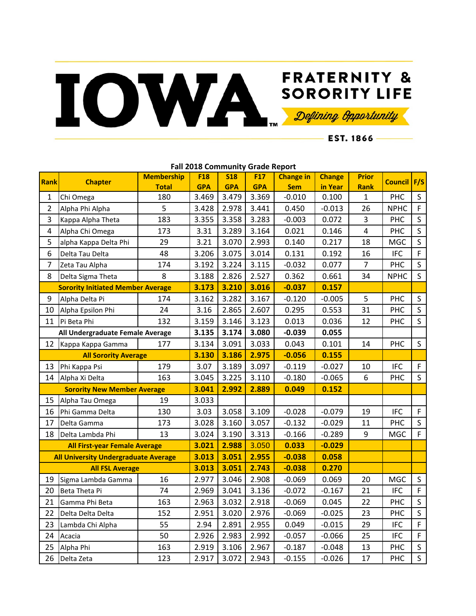## **FRATERNITY &** FRATERNITY & SORORITY LIFE

 $-$  EST. 1866 —

|                                             | <u>Fail 2010 COMMUNILY OF AUGHT NEPOLE</u> |                   |            |            |                 |                  |               |                |                |              |
|---------------------------------------------|--------------------------------------------|-------------------|------------|------------|-----------------|------------------|---------------|----------------|----------------|--------------|
| Rank                                        | <b>Chapter</b>                             | <b>Membership</b> | <b>F18</b> | <b>S18</b> | F <sub>17</sub> | <b>Change in</b> | <b>Change</b> | <b>Prior</b>   | <b>Council</b> | F/S          |
|                                             |                                            | <b>Total</b>      | <b>GPA</b> | <b>GPA</b> | <b>GPA</b>      | <b>Sem</b>       | in Year       | <b>Rank</b>    |                |              |
| $\mathbf{1}$                                | Chi Omega                                  | 180               | 3.469      | 3.479      | 3.369           | $-0.010$         | 0.100         | $\mathbf{1}$   | PHC            | $\mathsf S$  |
| $\overline{2}$                              | Alpha Phi Alpha                            | 5                 | 3.428      | 2.978      | 3.441           | 0.450            | $-0.013$      | 26             | <b>NPHC</b>    | F            |
| 3                                           | Kappa Alpha Theta                          | 183               | 3.355      | 3.358      | 3.283           | $-0.003$         | 0.072         | 3              | PHC            | S            |
| 4                                           | Alpha Chi Omega                            | 173               | 3.31       | 3.289      | 3.164           | 0.021            | 0.146         | $\overline{4}$ | PHC            | $\mathsf S$  |
| 5                                           | alpha Kappa Delta Phi                      | 29                | 3.21       | 3.070      | 2.993           | 0.140            | 0.217         | 18             | <b>MGC</b>     | $\mathsf{S}$ |
| 6                                           | Delta Tau Delta                            | 48                | 3.206      | 3.075      | 3.014           | 0.131            | 0.192         | 16             | <b>IFC</b>     | F            |
| 7                                           | Zeta Tau Alpha                             | 174               | 3.192      | 3.224      | 3.115           | $-0.032$         | 0.077         | $\overline{7}$ | PHC            | S            |
| 8                                           | Delta Sigma Theta                          | 8                 | 3.188      | 2.826      | 2.527           | 0.362            | 0.661         | 34             | <b>NPHC</b>    | S            |
|                                             | <b>Sorority Initiated Member Average</b>   |                   | 3.173      | 3.210      | 3.016           | $-0.037$         | 0.157         |                |                |              |
| 9                                           | Alpha Delta Pi                             | 174               | 3.162      | 3.282      | 3.167           | $-0.120$         | $-0.005$      | 5              | PHC            | $\sf S$      |
| 10                                          | Alpha Epsilon Phi                          | 24                | 3.16       | 2.865      | 2.607           | 0.295            | 0.553         | 31             | PHC            | S            |
| 11                                          | Pi Beta Phi                                | 132               | 3.159      | 3.146      | 3.123           | 0.013            | 0.036         | 12             | PHC            | $\mathsf{S}$ |
|                                             | All Undergraduate Female Average           |                   | 3.135      | 3.174      | 3.080           | $-0.039$         | 0.055         |                |                |              |
| 12                                          | Kappa Kappa Gamma                          | 177               | 3.134      | 3.091      | 3.033           | 0.043            | 0.101         | 14             | PHC            | S            |
|                                             | <b>All Sorority Average</b>                |                   | 3.130      | 3.186      | 2.975           | $-0.056$         | 0.155         |                |                |              |
| 13                                          | Phi Kappa Psi                              | 179               | 3.07       | 3.189      | 3.097           | $-0.119$         | $-0.027$      | 10             | <b>IFC</b>     | F            |
| 14                                          | Alpha Xi Delta                             | 163               | 3.045      | 3.225      | 3.110           | $-0.180$         | $-0.065$      | 6              | PHC            | S            |
|                                             | <b>Sorority New Member Average</b>         |                   | 3.041      | 2.992      | 2.889           | 0.049            | 0.152         |                |                |              |
| 15                                          | Alpha Tau Omega                            | 19                | 3.033      |            |                 |                  |               |                |                |              |
| 16                                          | Phi Gamma Delta                            | 130               | 3.03       | 3.058      | 3.109           | $-0.028$         | $-0.079$      | 19             | <b>IFC</b>     | F            |
| 17                                          | Delta Gamma                                | 173               | 3.028      | 3.160      | 3.057           | $-0.132$         | $-0.029$      | 11             | PHC            | S            |
| 18                                          | Delta Lambda Phi                           | 13                | 3.024      | 3.190      | 3.313           | $-0.166$         | $-0.289$      | 9              | <b>MGC</b>     | F            |
|                                             | <b>All First-year Female Average</b>       |                   | 3.021      | 2.988      | 3.050           | 0.033            | $-0.029$      |                |                |              |
| <b>All University Undergraduate Average</b> |                                            |                   | 3.013      | 3.051      | 2.955           | $-0.038$         | 0.058         |                |                |              |
| <b>All FSL Average</b>                      |                                            |                   | 3.013      | 3.051      | 2.743           | $-0.038$         | 0.270         |                |                |              |
| 19                                          | Sigma Lambda Gamma                         | 16                | 2.977      | 3.046      | 2.908           | $-0.069$         | 0.069         | 20             | <b>MGC</b>     | $\sf S$      |
| 20                                          | Beta Theta Pi                              | 74                | 2.969      | 3.041      | 3.136           | $-0.072$         | $-0.167$      | 21             | <b>IFC</b>     | F            |
| 21                                          | Gamma Phi Beta                             | 163               | 2.963      | 3.032      | 2.918           | $-0.069$         | 0.045         | 22             | PHC            | S            |
| 22                                          | Delta Delta Delta                          | 152               | 2.951      | 3.020      | 2.976           | $-0.069$         | $-0.025$      | 23             | PHC            | S            |
| 23                                          | Lambda Chi Alpha                           | 55                | 2.94       | 2.891      | 2.955           | 0.049            | $-0.015$      | 29             | <b>IFC</b>     | F            |
| 24                                          | Acacia                                     | 50                | 2.926      | 2.983      | 2.992           | $-0.057$         | $-0.066$      | 25             | <b>IFC</b>     | F            |
| 25                                          | Alpha Phi                                  | 163               | 2.919      | 3.106      | 2.967           | $-0.187$         | $-0.048$      | 13             | PHC            | S            |
| 26                                          | Delta Zeta                                 | 123               | 2.917      | 3.072      | 2.943           | $-0.155$         | $-0.026$      | 17             | PHC            | $\mathsf{S}$ |

**Fall 2018 Community Grade Report**